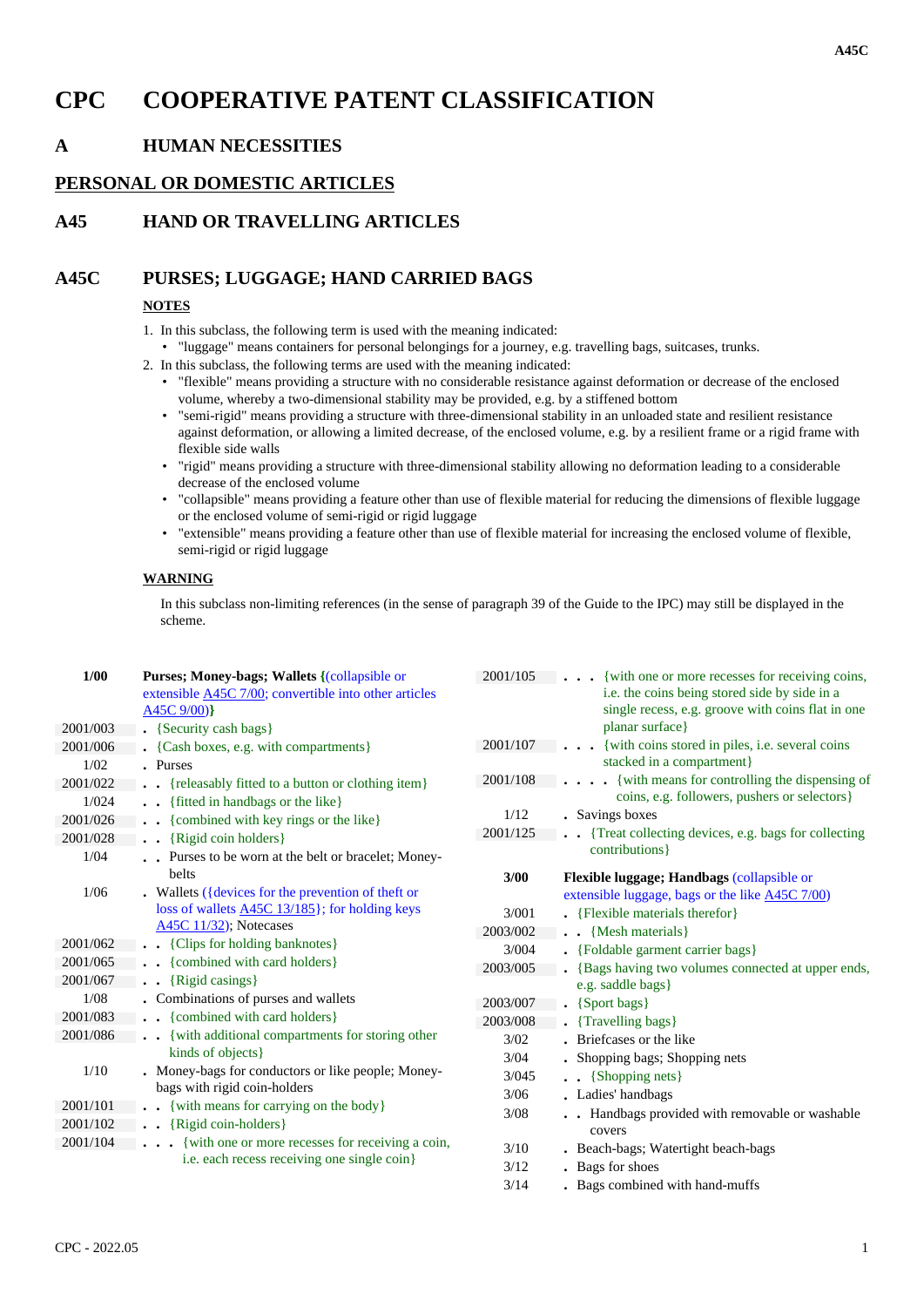# **CPC COOPERATIVE PATENT CLASSIFICATION**

## **A HUMAN NECESSITIES**

#### **PERSONAL OR DOMESTIC ARTICLES**

### **A45 HAND OR TRAVELLING ARTICLES**

#### **A45C PURSES; LUGGAGE; HAND CARRIED BAGS**

#### **NOTES**

- 1. In this subclass, the following term is used with the meaning indicated:
	- "luggage" means containers for personal belongings for a journey, e.g. travelling bags, suitcases, trunks.
- 2. In this subclass, the following terms are used with the meaning indicated:
	- "flexible" means providing a structure with no considerable resistance against deformation or decrease of the enclosed volume, whereby a two-dimensional stability may be provided, e.g. by a stiffened bottom
	- "semi-rigid" means providing a structure with three-dimensional stability in an unloaded state and resilient resistance against deformation, or allowing a limited decrease, of the enclosed volume, e.g. by a resilient frame or a rigid frame with flexible side walls
	- "rigid" means providing a structure with three-dimensional stability allowing no deformation leading to a considerable decrease of the enclosed volume
	- "collapsible" means providing a feature other than use of flexible material for reducing the dimensions of flexible luggage or the enclosed volume of semi-rigid or rigid luggage
	- "extensible" means providing a feature other than use of flexible material for increasing the enclosed volume of flexible, semi-rigid or rigid luggage

#### **WARNING**

In this subclass non-limiting references (in the sense of paragraph 39 of the Guide to the IPC) may still be displayed in the scheme.

| 1/00<br>Purses; Money-bags; Wallets {(collapsible or<br>2001/105<br>{with one or more recesses for receiving coins,<br>i.e. the coins being stored side by side in a<br>extensible A45C 7/00; convertible into other articles<br>single recess, e.g. groove with coins flat in one<br>$A45C$ 9/00)} |  |
|-----------------------------------------------------------------------------------------------------------------------------------------------------------------------------------------------------------------------------------------------------------------------------------------------------|--|
| planar surface}<br>2001/003<br>. {Security cash bags}                                                                                                                                                                                                                                               |  |
| {with coins stored in piles, i.e. several coins<br>2001/107<br>$\cdots$<br>• {Cash boxes, e.g. with compartments}<br>2001/006<br>stacked in a compartment}                                                                                                                                          |  |
| 1/02<br>. Purses<br>{with means for controlling the dispensing of<br>2001/108                                                                                                                                                                                                                       |  |
| 2001/022<br>{releasably fitted to a button or clothing item}<br>coins, e.g. followers, pushers or selectors}                                                                                                                                                                                        |  |
| 1/024<br>. {fitted in handbags or the like}<br>1/12<br>• Savings boxes                                                                                                                                                                                                                              |  |
| 2001/026<br>{combined with key rings or the like}<br>$\ddot{\phantom{0}}$<br>2001/125<br>{Treat collecting devices, e.g. bags for collecting                                                                                                                                                        |  |
| 2001/028<br>{Rigid coin holders}<br>$\ddot{\phantom{0}}$<br>contributions }                                                                                                                                                                                                                         |  |
| 1/04<br>Purses to be worn at the belt or bracelet; Money-                                                                                                                                                                                                                                           |  |
| belts<br>3/00<br>Flexible luggage; Handbags (collapsible or                                                                                                                                                                                                                                         |  |
| 1/06<br>. Wallets ( ${devices}$ for the prevention of theft or<br>extensible luggage, bags or the like <b>A45C</b> 7/00)                                                                                                                                                                            |  |
| loss of wallets <b>A45C 13/185</b> }; for holding keys<br>. {Flexible materials therefor}<br>3/001                                                                                                                                                                                                  |  |
| A45C 11/32); Notecases<br>2003/002<br>$\bullet$ $\bullet$ {Mesh materials}                                                                                                                                                                                                                          |  |
| . {Clips for holding banknotes}<br>2001/062<br>3/004<br>. {Foldable garment carrier bags}                                                                                                                                                                                                           |  |
| {combined with card holders}<br>2001/065<br>2003/005<br>. {Bags having two volumes connected at upper ends,                                                                                                                                                                                         |  |
| 2001/067<br>$\bullet$ {Rigid casings}<br>e.g. saddle bags}                                                                                                                                                                                                                                          |  |
| • Combinations of purses and wallets<br>1/08<br>2003/007<br>$\bullet$ {Sport bags}                                                                                                                                                                                                                  |  |
| . {combined with card holders}<br>2001/083<br>2003/008<br>• {Travelling bags}                                                                                                                                                                                                                       |  |
| 2001/086<br>{with additional compartments for storing other<br>3/02<br>. Briefcases or the like                                                                                                                                                                                                     |  |
| kinds of objects}<br>3/04<br>. Shopping bags; Shopping nets                                                                                                                                                                                                                                         |  |
| . Money-bags for conductors or like people; Money-<br>1/10<br>3/045<br>. . {Shopping nets}                                                                                                                                                                                                          |  |
| bags with rigid coin-holders<br>3/06<br>• Ladies' handbags                                                                                                                                                                                                                                          |  |
| 2001/101<br>{with means for carrying on the body}<br>3/08<br>. Handbags provided with removable or washable                                                                                                                                                                                         |  |
| $\bullet$ $\bullet$ {Rigid coin-holders}<br>2001/102<br>covers                                                                                                                                                                                                                                      |  |
| 2001/104<br>{with one or more recesses for receiving a coin,<br>3/10<br>. Beach-bags; Watertight beach-bags                                                                                                                                                                                         |  |
| i.e. each recess receiving one single coin}<br>3/12<br>. Bags for shoes                                                                                                                                                                                                                             |  |
| 3/14<br>. Bags combined with hand-muffs                                                                                                                                                                                                                                                             |  |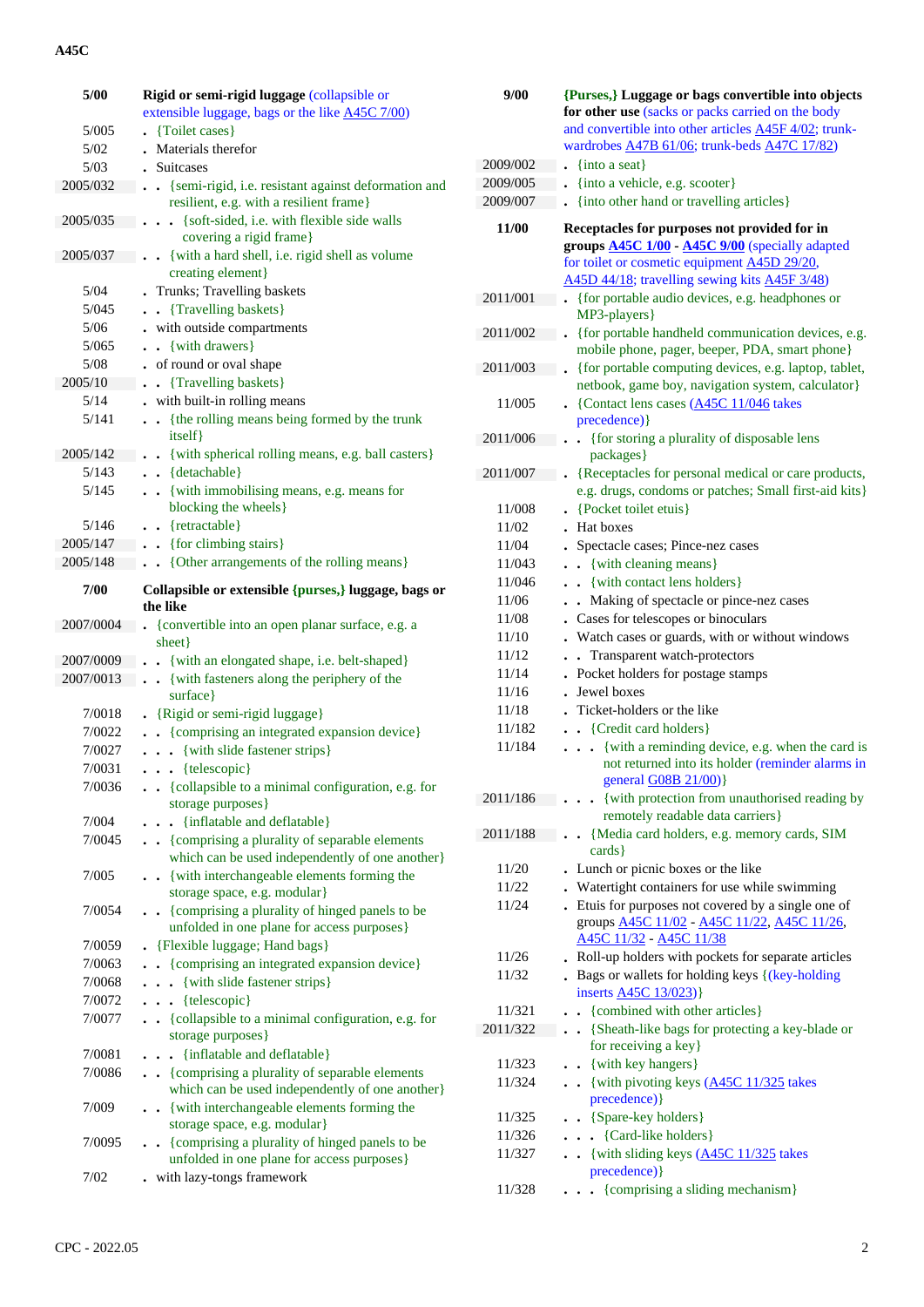## **A45C**

| 5/00      | Rigid or semi-rigid luggage (collapsible or                                                              |  |  |
|-----------|----------------------------------------------------------------------------------------------------------|--|--|
|           | extensible luggage, bags or the like A45C 7/00)                                                          |  |  |
| 5/005     | {Toilet cases}                                                                                           |  |  |
| 5/02      | Materials therefor                                                                                       |  |  |
| 5/03      | <b>Suitcases</b>                                                                                         |  |  |
| 2005/032  | · {semi-rigid, i.e. resistant against deformation and<br>resilient, e.g. with a resilient frame}         |  |  |
| 2005/035  | {soft-sided, i.e. with flexible side walls<br>$\sim$<br>covering a rigid frame}                          |  |  |
| 2005/037  | . {with a hard shell, i.e. rigid shell as volume                                                         |  |  |
|           | creating element}                                                                                        |  |  |
| 5/04      | Trunks; Travelling baskets                                                                               |  |  |
| 5/045     | {Travelling baskets}<br>$\ddot{\phantom{a}}$<br>$\ddot{\phantom{0}}$                                     |  |  |
| 5/06      | - with outside compartments                                                                              |  |  |
| 5/065     | {with drawers}<br>$\ddot{\phantom{0}}$                                                                   |  |  |
| 5/08      | . of round or oval shape                                                                                 |  |  |
| 2005/10   | {Travelling baskets}<br>$\bullet$                                                                        |  |  |
| 5/14      | . with built-in rolling means                                                                            |  |  |
| 5/141     | {the rolling means being formed by the trunk<br>$\ddot{\phantom{a}}$<br>itself}                          |  |  |
| 2005/142  | {with spherical rolling means, e.g. ball casters}                                                        |  |  |
| 5/143     | {detachable}<br>$\ddot{\phantom{0}}$                                                                     |  |  |
| 5/145     | {with immobilising means, e.g. means for<br>blocking the wheels}                                         |  |  |
| 5/146     | $\bullet$ {retractable}                                                                                  |  |  |
| 2005/147  | . . {for climbing stairs}                                                                                |  |  |
| 2005/148  | • • {Other arrangements of the rolling means}                                                            |  |  |
| 7/00      | Collapsible or extensible {purses,} luggage, bags or                                                     |  |  |
|           | the like                                                                                                 |  |  |
| 2007/0004 | {convertible into an open planar surface, e.g. a                                                         |  |  |
|           | sheet }                                                                                                  |  |  |
| 2007/0009 | {with an elongated shape, i.e. belt-shaped}                                                              |  |  |
| 2007/0013 | {with fasteners along the periphery of the<br>surface}                                                   |  |  |
| 7/0018    | . {Rigid or semi-rigid luggage}                                                                          |  |  |
| 7/0022    | • {comprising an integrated expansion device}                                                            |  |  |
| 7/0027    | {with slide fastener strips}<br>$\ddot{\phantom{0}}$                                                     |  |  |
| 7/0031    | $\ldots$ {telescopic}                                                                                    |  |  |
| 7/0036    | . . {collapsible to a minimal configuration, e.g. for                                                    |  |  |
| 7/004     | storage purposes}                                                                                        |  |  |
| 7/0045    | {inflatable and deflatable}<br>$\ddot{\phantom{0}}$<br>. . {comprising a plurality of separable elements |  |  |
| 7/005     | which can be used independently of one another}<br>. { with interchangeable elements forming the         |  |  |
|           | storage space, e.g. modular}                                                                             |  |  |
| 7/0054    | • {comprising a plurality of hinged panels to be<br>unfolded in one plane for access purposes}           |  |  |
| 7/0059    | • {Flexible luggage; Hand bags}                                                                          |  |  |
| 7/0063    | . {comprising an integrated expansion device}                                                            |  |  |
| 7/0068    | {with slide fastener strips}                                                                             |  |  |
| 7/0072    | {telescopic}<br>.                                                                                        |  |  |
| 7/0077    | {collapsible to a minimal configuration, e.g. for<br>storage purposes}                                   |  |  |
| 7/0081    | {inflatable and deflatable}<br>$\ddot{\phantom{0}}$                                                      |  |  |
| 7/0086    | . {comprising a plurality of separable elements<br>which can be used independently of one another}       |  |  |
| 7/009     | • {with interchangeable elements forming the<br>storage space, e.g. modular}                             |  |  |
| 7/0095    | • {comprising a plurality of hinged panels to be<br>unfolded in one plane for access purposes}           |  |  |
| 7/02      | with lazy-tongs framework                                                                                |  |  |

| 9/00     | {Purses,} Luggage or bags convertible into objects                                                                          |  |  |
|----------|-----------------------------------------------------------------------------------------------------------------------------|--|--|
|          | for other use (sacks or packs carried on the body                                                                           |  |  |
|          | and convertible into other articles A45F 4/02; trunk-                                                                       |  |  |
|          | wardrobes <b>A47B 61/06</b> ; trunk-beds <b>A47C 17/82</b> )                                                                |  |  |
| 2009/002 | $\frac{1}{2}$ {into a seat}                                                                                                 |  |  |
| 2009/005 | {into a vehicle, e.g. scooter}                                                                                              |  |  |
| 2009/007 | {into other hand or travelling articles}                                                                                    |  |  |
| 11/00    | Receptacles for purposes not provided for in<br>groups <b>A45C 1/00</b> - <b>A45C 9/00</b> (specially adapted               |  |  |
|          | for toilet or cosmetic equipment A45D 29/20,                                                                                |  |  |
|          | A45D 44/18; travelling sewing kits A45F 3/48)                                                                               |  |  |
| 2011/001 | {for portable audio devices, e.g. headphones or<br>MP3-players }                                                            |  |  |
| 2011/002 | {for portable handheld communication devices, e.g.<br>mobile phone, pager, beeper, PDA, smart phone}                        |  |  |
| 2011/003 | . {for portable computing devices, e.g. laptop, tablet,<br>netbook, game boy, navigation system, calculator}                |  |  |
| 11/005   | • {Contact lens cases $(A45C 11/046)$ takes<br>precedence) }                                                                |  |  |
| 2011/006 | {for storing a plurality of disposable lens<br>packages}                                                                    |  |  |
| 2011/007 | {Receptacles for personal medical or care products,<br>e.g. drugs, condoms or patches; Small first-aid kits}                |  |  |
| 11/008   | {Pocket toilet etuis}                                                                                                       |  |  |
| 11/02    | Hat boxes                                                                                                                   |  |  |
| 11/04    | Spectacle cases; Pince-nez cases                                                                                            |  |  |
| 11/043   | {with cleaning means}                                                                                                       |  |  |
| 11/046   | • {with contact lens holders}                                                                                               |  |  |
| 11/06    | Making of spectacle or pince-nez cases<br>$\ddot{\phantom{a}}$                                                              |  |  |
| 11/08    | Cases for telescopes or binoculars                                                                                          |  |  |
| 11/10    | Watch cases or guards, with or without windows                                                                              |  |  |
| 11/12    | Transparent watch-protectors<br>$\ddot{\phantom{a}}$                                                                        |  |  |
| 11/14    | Pocket holders for postage stamps                                                                                           |  |  |
| 11/16    | Jewel boxes                                                                                                                 |  |  |
| 11/18    | Ticket-holders or the like                                                                                                  |  |  |
| 11/182   | • {Credit card holders}                                                                                                     |  |  |
| 11/184   | {with a reminding device, e.g. when the card is<br>not returned into its holder (reminder alarms in<br>general G08B 21/00)} |  |  |
| 2011/186 | {with protection from unauthorised reading by<br>remotely readable data carriers}                                           |  |  |
| 2011/188 | {Media card holders, e.g. memory cards, SIM<br>$\ddot{\phantom{a}}$                                                         |  |  |
|          | cards }                                                                                                                     |  |  |
| 11/20    | • Lunch or picnic boxes or the like                                                                                         |  |  |
| 11/22    | . Watertight containers for use while swimming                                                                              |  |  |
| 11/24    | . Etuis for purposes not covered by a single one of<br>groups <b>A45C 11/02</b> - A45C 11/22, A45C 11/26,                   |  |  |
|          | A45C 11/32 - A45C 11/38                                                                                                     |  |  |
| 11/26    | . Roll-up holders with pockets for separate articles                                                                        |  |  |
| 11/32    | . Bags or wallets for holding keys {(key-holding<br>inserts <b>A45C</b> 13/023)                                             |  |  |
| 11/321   | • {combined with other articles}                                                                                            |  |  |
| 2011/322 | . {Sheath-like bags for protecting a key-blade or<br>for receiving a key}                                                   |  |  |
| 11/323   | • {with key hangers}                                                                                                        |  |  |
| 11/324   | . . {with pivoting keys (A45C 11/325 takes<br>precedence) }                                                                 |  |  |
| 11/325   | • {Spare-key holders}                                                                                                       |  |  |
| 11/326   | {Card-like holders}                                                                                                         |  |  |
| 11/327   | {with sliding keys (A45C 11/325 takes                                                                                       |  |  |
|          | precedence) }                                                                                                               |  |  |
| 11/328   | {comprising a sliding mechanism}                                                                                            |  |  |